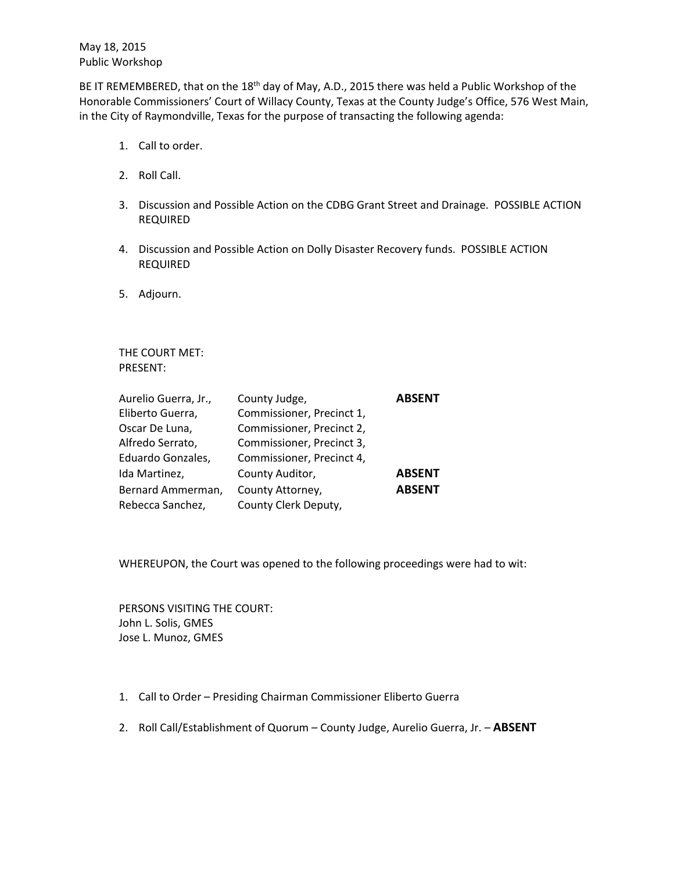May 18, 2015 Public Workshop

BE IT REMEMBERED, that on the 18<sup>th</sup> day of May, A.D., 2015 there was held a Public Workshop of the Honorable Commissioners' Court of Willacy County, Texas at the County Judge's Office, 576 West Main, in the City of Raymondville, Texas for the purpose of transacting the following agenda:

- 1. Call to order.
- 2. Roll Call.
- 3. Discussion and Possible Action on the CDBG Grant Street and Drainage. POSSIBLE ACTION REQUIRED
- 4. Discussion and Possible Action on Dolly Disaster Recovery funds. POSSIBLE ACTION REQUIRED
- 5. Adjourn.

THE COURT MET: PRESENT:

| Aurelio Guerra, Jr., | County Judge,             | <b>ABSENT</b> |
|----------------------|---------------------------|---------------|
| Eliberto Guerra,     | Commissioner, Precinct 1, |               |
| Oscar De Luna,       | Commissioner, Precinct 2, |               |
| Alfredo Serrato,     | Commissioner, Precinct 3, |               |
| Eduardo Gonzales,    | Commissioner, Precinct 4, |               |
| Ida Martinez,        | County Auditor,           | <b>ABSENT</b> |
| Bernard Ammerman,    | County Attorney,          | <b>ABSENT</b> |
| Rebecca Sanchez,     | County Clerk Deputy,      |               |

WHEREUPON, the Court was opened to the following proceedings were had to wit:

PERSONS VISITING THE COURT: John L. Solis, GMES Jose L. Munoz, GMES

- 1. Call to Order Presiding Chairman Commissioner Eliberto Guerra
- 2. Roll Call/Establishment of Quorum County Judge, Aurelio Guerra, Jr. **ABSENT**